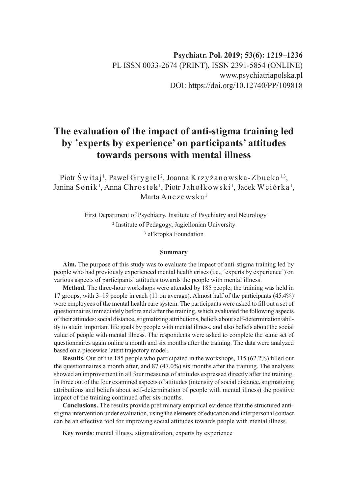# **The evaluation of the impact of anti-stigma training led by 'experts by experience' on participants' attitudes towards persons with mental illness**

Piotr Świtaj<sup>1</sup>, Paweł Grygiel<sup>2</sup>, Joanna Krzyżanowska-Zbucka<sup>1,3</sup>, Janina Sonik<sup>1</sup>, Anna Chrostek<sup>1</sup>, Piotr Jahołkowski<sup>1</sup>, Jacek Wciórka<sup>1</sup>, Marta Anczewska $<sup>1</sup>$ </sup>

> <sup>1</sup> First Department of Psychiatry, Institute of Psychiatry and Neurology 2 Institute of Pedagogy, Jagiellonian University 3 eFkropka Foundation

#### **Summary**

**Aim.** The purpose of this study was to evaluate the impact of anti-stigma training led by people who had previously experienced mental health crises (i.e., 'experts by experience') on various aspects of participants' attitudes towards the people with mental illness.

**Method.** The three-hour workshops were attended by 185 people; the training was held in 17 groups, with 3–19 people in each (11 on average). Almost half of the participants (45.4%) were employees of the mental health care system. The participants were asked to fill out a set of questionnaires immediately before and after the training, which evaluated the following aspects of their attitudes: social distance, stigmatizing attributions, beliefs about self-determination/ability to attain important life goals by people with mental illness, and also beliefs about the social value of people with mental illness. The respondents were asked to complete the same set of questionnaires again online a month and six months after the training. The data were analyzed based on a piecewise latent trajectory model.

**Results.** Out of the 185 people who participated in the workshops, 115 (62.2%) filled out the questionnaires a month after, and 87 (47.0%) six months after the training. The analyses showed an improvement in all four measures of attitudes expressed directly after the training. In three out of the four examined aspects of attitudes (intensity of social distance, stigmatizing attributions and beliefs about self-determination of people with mental illness) the positive impact of the training continued after six months.

**Conclusions.** The results provide preliminary empirical evidence that the structured antistigma intervention under evaluation, using the elements of education and interpersonal contact can be an effective tool for improving social attitudes towards people with mental illness.

**Key words**: mental illness, stigmatization, experts by experience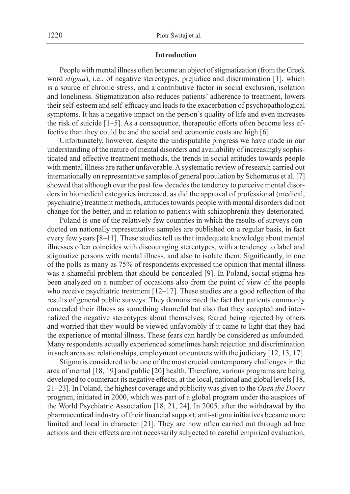#### **Introduction**

People with mental illness often become an object of stigmatization (from the Greek word *stigma*), i.e., of negative stereotypes, prejudice and discrimination [1], which is a source of chronic stress, and a contributive factor in social exclusion, isolation and loneliness. Stigmatization also reduces patients' adherence to treatment, lowers their self-esteem and self-efficacy and leads to the exacerbation of psychopathological symptoms. It has a negative impact on the person's quality of life and even increases the risk of suicide [1–5]. As a consequence, therapeutic efforts often become less effective than they could be and the social and economic costs are high [6].

Unfortunately, however, despite the undisputable progress we have made in our understanding of the nature of mental disorders and availability of increasingly sophisticated and effective treatment methods, the trends in social attitudes towards people with mental illness are rather unfavorable. A systematic review of research carried out internationally on representative samples of general population by Schomerus et al. [7] showed that although over the past few decades the tendency to perceive mental disorders in biomedical categories increased, as did the approval of professional (medical, psychiatric) treatment methods, attitudes towards people with mental disorders did not change for the better, and in relation to patients with schizophrenia they deteriorated.

Poland is one of the relatively few countries in which the results of surveys conducted on nationally representative samples are published on a regular basis, in fact every few years [8–11]. These studies tell us that inadequate knowledge about mental illnesses often coincides with discouraging stereotypes, with a tendency to label and stigmatize persons with mental illness, and also to isolate them. Significantly, in one of the polls as many as 75% of respondents expressed the opinion that mental illness was a shameful problem that should be concealed [9]. In Poland, social stigma has been analyzed on a number of occasions also from the point of view of the people who receive psychiatric treatment [12–17]. These studies are a good reflection of the results of general public surveys. They demonstrated the fact that patients commonly concealed their illness as something shameful but also that they accepted and internalized the negative stereotypes about themselves, feared being rejected by others and worried that they would be viewed unfavorably if it came to light that they had the experience of mental illness. These fears can hardly be considered as unfounded. Many respondents actually experienced sometimes harsh rejection and discrimination in such areas as: relationships, employment or contacts with the judiciary [12, 13, 17].

Stigma is considered to be one of the most crucial contemporary challenges in the area of mental [18, 19] and public [20] health. Therefore, various programs are being developed to counteract its negative effects, at the local, national and global levels [18, 21–23]. In Poland, the highest coverage and publicity was given to the *Open the Doors* program, initiated in 2000, which was part of a global program under the auspices of the World Psychiatric Association [18, 21, 24]. In 2005, after the withdrawal by the pharmaceutical industry of their financial support, anti-stigma initiatives became more limited and local in character [21]. They are now often carried out through ad hoc actions and their effects are not necessarily subjected to careful empirical evaluation,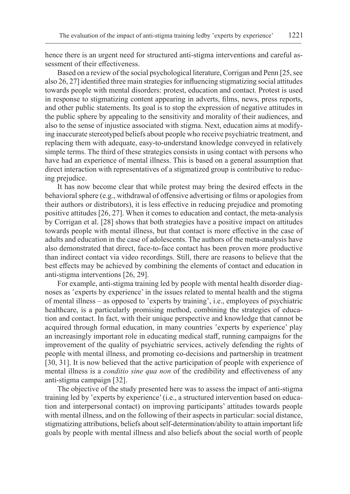hence there is an urgent need for structured anti-stigma interventions and careful assessment of their effectiveness.

Based on a review of the social psychological literature, Corrigan and Penn [25, see also 26, 27] identified three main strategies for influencing stigmatizing social attitudes towards people with mental disorders: protest, education and contact. Protest is used in response to stigmatizing content appearing in adverts, films, news, press reports, and other public statements. Its goal is to stop the expression of negative attitudes in the public sphere by appealing to the sensitivity and morality of their audiences, and also to the sense of injustice associated with stigma. Next, education aims at modifying inaccurate stereotyped beliefs about people who receive psychiatric treatment, and replacing them with adequate, easy-to-understand knowledge conveyed in relatively simple terms. The third of these strategies consists in using contact with persons who have had an experience of mental illness. This is based on a general assumption that direct interaction with representatives of a stigmatized group is contributive to reducing prejudice.

It has now become clear that while protest may bring the desired effects in the behavioral sphere (e.g., withdrawal of offensive advertising or films or apologies from their authors or distributors), it is less effective in reducing prejudice and promoting positive attitudes [26, 27]. When it comes to education and contact, the meta-analysis by Corrigan et al. [28] shows that both strategies have a positive impact on attitudes towards people with mental illness, but that contact is more effective in the case of adults and education in the case of adolescents. The authors of the meta-analysis have also demonstrated that direct, face-to-face contact has been proven more productive than indirect contact via video recordings. Still, there are reasons to believe that the best effects may be achieved by combining the elements of contact and education in anti-stigma interventions [26, 29].

For example, anti-stigma training led by people with mental health disorder diagnoses as 'experts by experience' in the issues related to mental health and the stigma of mental illness *–* as opposed to 'experts by training', i.e., employees of psychiatric healthcare, is a particularly promising method, combining the strategies of education and contact. In fact, with their unique perspective and knowledge that cannot be acquired through formal education, in many countries 'experts by experience' play an increasingly important role in educating medical staff, running campaigns for the improvement of the quality of psychiatric services, actively defending the rights of people with mental illness, and promoting co-decisions and partnership in treatment [30, 31]. It is now believed that the active participation of people with experience of mental illness is a *conditio sine qua non* of the credibility and effectiveness of any anti-stigma campaign [32].

The objective of the study presented here was to assess the impact of anti-stigma training led by 'experts by experience' (i.e., a structured intervention based on education and interpersonal contact) on improving participants' attitudes towards people with mental illness, and on the following of their aspects in particular: social distance, stigmatizing attributions, beliefs about self-determination/ability to attain important life goals by people with mental illness and also beliefs about the social worth of people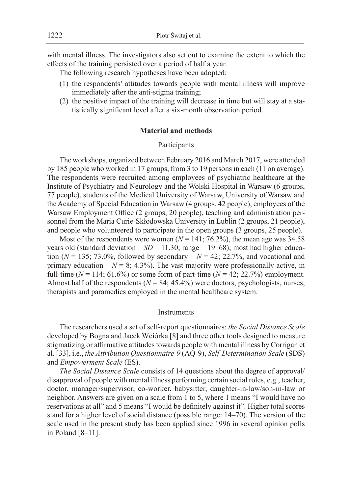with mental illness. The investigators also set out to examine the extent to which the effects of the training persisted over a period of half a year.

The following research hypotheses have been adopted:

- (1) the respondents' attitudes towards people with mental illness will improve immediately after the anti-stigma training;
- (2) the positive impact of the training will decrease in time but will stay at a statistically significant level after a six-month observation period.

#### **Material and methods**

#### Participants

The workshops, organized between February 2016 and March 2017, were attended by 185 people who worked in 17 groups, from 3 to 19 persons in each (11 on average). The respondents were recruited among employees of psychiatric healthcare at the Institute of Psychiatry and Neurology and the Wolski Hospital in Warsaw (6 groups, 77 people), students of the Medical University of Warsaw, University of Warsaw and the Academy of Special Education in Warsaw (4 groups, 42 people), employees of the Warsaw Employment Office (2 groups, 20 people), teaching and administration personnel from the Maria Curie-Skłodowska University in Lublin (2 groups, 21 people), and people who volunteered to participate in the open groups (3 groups, 25 people).

Most of the respondents were women ( $N = 141$ ; 76.2%), the mean age was 34.58 years old (standard deviation  $- SD = 11.30$ ; range  $= 19-68$ ); most had higher education ( $N = 135$ ; 73.0%, followed by secondary  $- N = 42$ ; 22.7%, and vocational and primary education  $- N = 8$ ; 4.3%). The vast majority were professionally active, in full-time ( $N = 114$ ; 61.6%) or some form of part-time ( $N = 42$ ; 22.7%) employment. Almost half of the respondents ( $N = 84$ ; 45.4%) were doctors, psychologists, nurses, therapists and paramedics employed in the mental healthcare system.

### **Instruments**

The researchers used a set of self-report questionnaires: *the Social Distance Scale* developed by Bogna and Jacek Wciórka [8] and three other tools designed to measure stigmatizing or affirmative attitudes towards people with mental illness by Corrigan et al. [33], i.e., *the Attribution Questionnaire-9* (AQ-9), *Self-Determination Scale* (SDS) and *Empowerment Scale* (ES).

*The Social Distance Scale* consists of 14 questions about the degree of approval/ disapproval of people with mental illness performing certain social roles, e.g., teacher, doctor, manager/supervisor, co-worker, babysitter, daughter-in-law/son-in-law or neighbor. Answers are given on a scale from 1 to 5, where 1 means "I would have no reservations at all" and 5 means "I would be definitely against it". Higher total scores stand for a higher level of social distance (possible range: 14–70). The version of the scale used in the present study has been applied since 1996 in several opinion polls in Poland [8–11].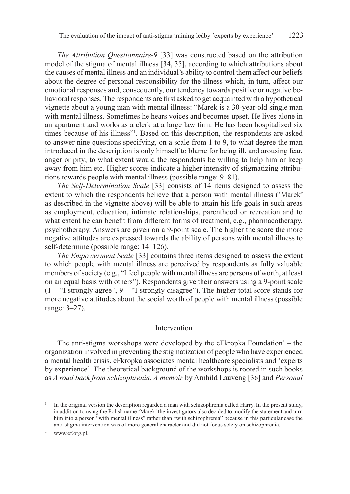*The Attribution Questionnaire-9* [33] was constructed based on the attribution model of the stigma of mental illness [34, 35], according to which attributions about the causes of mental illness and an individual's ability to control them affect our beliefs about the degree of personal responsibility for the illness which, in turn, affect our emotional responses and, consequently, our tendency towards positive or negative behavioral responses. The respondents are first asked to get acquainted with a hypothetical vignette about a young man with mental illness: "Marek is a 30-year-old single man with mental illness. Sometimes he hears voices and becomes upset. He lives alone in an apartment and works as a clerk at a large law firm. He has been hospitalized six times because of his illness"<sup>1</sup> . Based on this description, the respondents are asked to answer nine questions specifying, on a scale from 1 to 9, to what degree the man introduced in the description is only himself to blame for being ill, and arousing fear, anger or pity; to what extent would the respondents be willing to help him or keep away from him etc. Higher scores indicate a higher intensity of stigmatizing attributions towards people with mental illness (possible range: 9–81).

*The Self-Determination Scale* [33] consists of 14 items designed to assess the extent to which the respondents believe that a person with mental illness ('Marek' as described in the vignette above) will be able to attain his life goals in such areas as employment, education, intimate relationships, parenthood or recreation and to what extent he can benefit from different forms of treatment, e.g., pharmacotherapy, psychotherapy. Answers are given on a 9-point scale. The higher the score the more negative attitudes are expressed towards the ability of persons with mental illness to self-determine (possible range: 14–126).

*The Empowerment Scale* [33] contains three items designed to assess the extent to which people with mental illness are perceived by respondents as fully valuable members of society (e.g., "I feel people with mental illness are persons of worth, at least on an equal basis with others"). Respondents give their answers using a 9-point scale  $(1 -$  "I strongly agree",  $9 -$  "I strongly disagree"). The higher total score stands for more negative attitudes about the social worth of people with mental illness (possible range: 3–27).

## Intervention

The anti-stigma workshops were developed by the eFkropka Foundation<sup>2</sup> – the organization involved in preventing the stigmatization of people who have experienced a mental health crisis. eFkropka associates mental healthcare specialists and 'experts by experience'. The theoretical background of the workshops is rooted in such books as *A road back from schizophrenia. A memoir* by Arnhild Lauveng [36] and *Personal* 

<sup>1</sup> In the original version the description regarded a man with schizophrenia called Harry. In the present study, in addition to using the Polish name 'Marek' the investigators also decided to modify the statement and turn him into a person "with mental illness" rather than "with schizophrenia" because in this particular case the anti-stigma intervention was of more general character and did not focus solely on schizophrenia.

<sup>2</sup> www.ef.org.pl.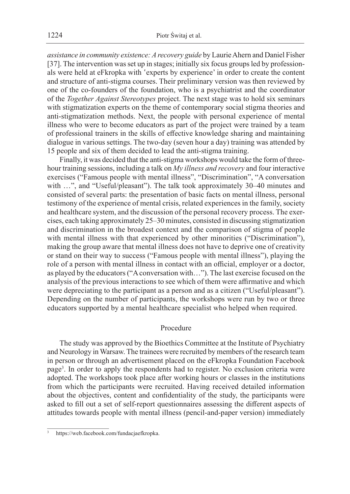*assistance in community existence: A recovery guide* by Laurie Ahern and Daniel Fisher [37]. The intervention was set up in stages; initially six focus groups led by professionals were held at eFkropka with 'experts by experience' in order to create the content and structure of anti-stigma courses. Their preliminary version was then reviewed by one of the co-founders of the foundation, who is a psychiatrist and the coordinator of the *Together Against Stereotypes* project. The next stage was to hold six seminars with stigmatization experts on the theme of contemporary social stigma theories and anti-stigmatization methods. Next, the people with personal experience of mental illness who were to become educators as part of the project were trained by a team of professional trainers in the skills of effective knowledge sharing and maintaining dialogue in various settings. The two-day (seven hour a day) training was attended by 15 people and six of them decided to lead the anti-stigma training.

Finally, it was decided that the anti-stigma workshops would take the form of threehour training sessions, including a talk on *My illness and recovery* and four interactive exercises ("Famous people with mental illness", "Discrimination", "A conversation with ...", and "Useful/pleasant"). The talk took approximately 30–40 minutes and consisted of several parts: the presentation of basic facts on mental illness, personal testimony of the experience of mental crisis, related experiences in the family, society and healthcare system, and the discussion of the personal recovery process. The exercises, each taking approximately 25–30 minutes, consisted in discussing stigmatization and discrimination in the broadest context and the comparison of stigma of people with mental illness with that experienced by other minorities ("Discrimination"), making the group aware that mental illness does not have to deprive one of creativity or stand on their way to success ("Famous people with mental illness"), playing the role of a person with mental illness in contact with an official, employer or a doctor, as played by the educators ("A conversation with…"). The last exercise focused on the analysis of the previous interactions to see which of them were affirmative and which were depreciating to the participant as a person and as a citizen ("Useful/pleasant"). Depending on the number of participants, the workshops were run by two or three educators supported by a mental healthcare specialist who helped when required.

## Procedure

The study was approved by the Bioethics Committee at the Institute of Psychiatry and Neurology in Warsaw. The trainees were recruited by members of the research team in person or through an advertisement placed on the eFkropka Foundation Facebook page3 . In order to apply the respondents had to register. No exclusion criteria were adopted. The workshops took place after working hours or classes in the institutions from which the participants were recruited. Having received detailed information about the objectives, content and confidentiality of the study, the participants were asked to fill out a set of self-report questionnaires assessing the different aspects of attitudes towards people with mental illness (pencil-and-paper version) immediately

https://web.facebook.com/fundacjaefkropka.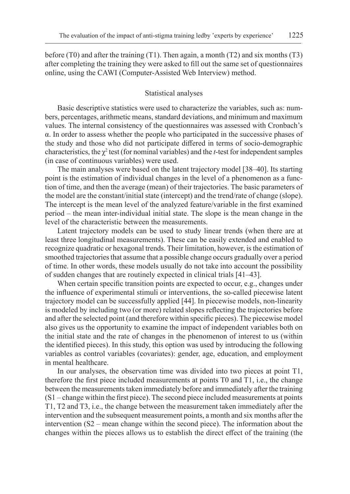before (T0) and after the training (T1). Then again, a month (T2) and six months (T3) after completing the training they were asked to fill out the same set of questionnaires online, using the CAWI (Computer-Assisted Web Interview) method.

#### Statistical analyses

Basic descriptive statistics were used to characterize the variables, such as: numbers, percentages, arithmetic means, standard deviations, and minimum and maximum values. The internal consistency of the questionnaires was assessed with Cronbach's α. In order to assess whether the people who participated in the successive phases of the study and those who did not participate differed in terms of socio-demographic characteristics, the  $\chi^2$  test (for nominal variables) and the *t*-test for independent samples (in case of continuous variables) were used.

The main analyses were based on the latent trajectory model [38–40]. Its starting point is the estimation of individual changes in the level of a phenomenon as a function of time, and then the average (mean) of their trajectories. The basic parameters of the model are the constant/initial state (intercept) and the trend/rate of change (slope). The intercept is the mean level of the analyzed feature/variable in the first examined period – the mean inter-individual initial state. The slope is the mean change in the level of the characteristic between the measurements.

Latent trajectory models can be used to study linear trends (when there are at least three longitudinal measurements). These can be easily extended and enabled to recognize quadratic or hexagonal trends. Their limitation, however, is the estimation of smoothed trajectories that assume that a possible change occurs gradually over a period of time. In other words, these models usually do not take into account the possibility of sudden changes that are routinely expected in clinical trials [41–43].

When certain specific transition points are expected to occur, e.g., changes under the influence of experimental stimuli or interventions, the so-called piecewise latent trajectory model can be successfully applied [44]. In piecewise models, non-linearity is modeled by including two (or more) related slopes reflecting the trajectories before and after the selected point (and therefore within specific pieces). The piecewise model also gives us the opportunity to examine the impact of independent variables both on the initial state and the rate of changes in the phenomenon of interest to us (within the identified pieces). In this study, this option was used by introducing the following variables as control variables (covariates): gender, age, education, and employment in mental healthcare.

In our analyses, the observation time was divided into two pieces at point T1, therefore the first piece included measurements at points T0 and T1, i.e., the change between the measurements taken immediately before and immediately after the training (S1 – change within the first piece). The second piece included measurements at points T1, T2 and T3, i.e., the change between the measurement taken immediately after the intervention and the subsequent measurement points, a month and six months after the intervention (S2 – mean change within the second piece). The information about the changes within the pieces allows us to establish the direct effect of the training (the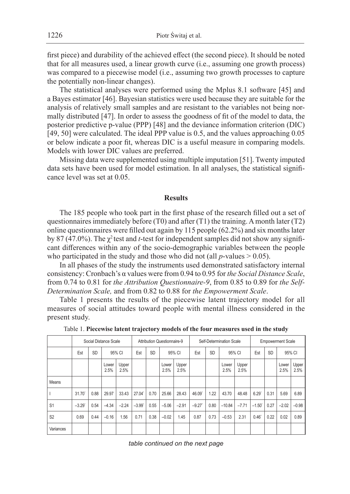first piece) and durability of the achieved effect (the second piece). It should be noted that for all measures used, a linear growth curve (i.e., assuming one growth process) was compared to a piecewise model (i.e., assuming two growth processes to capture the potentially non-linear changes).

The statistical analyses were performed using the Mplus 8.1 software [45] and a Bayes estimator [46]. Bayesian statistics were used because they are suitable for the analysis of relatively small samples and are resistant to the variables not being normally distributed [47]. In order to assess the goodness of fit of the model to data, the posterior predictive p-value (PPP) [48] and the deviance information criterion (DIC) [49, 50] were calculated. The ideal PPP value is 0.5, and the values approaching 0.05 or below indicate a poor fit, whereas DIC is a useful measure in comparing models. Models with lower DIC values are preferred.

Missing data were supplemented using multiple imputation [51]. Twenty imputed data sets have been used for model estimation. In all analyses, the statistical significance level was set at 0.05.

#### **Results**

The 185 people who took part in the first phase of the research filled out a set of questionnaires immediately before (T0) and after (T1) the training. A month later (T2) online questionnaires were filled out again by 115 people (62.2%) and six months later by 87 (47.0%). The  $\chi^2$  test and *t*-test for independent samples did not show any significant differences within any of the socio-demographic variables between the people who participated in the study and those who did not (all  $p$ -values  $> 0.05$ ).

In all phases of the study the instruments used demonstrated satisfactory internal consistency: Cronbach's α values were from 0.94 to 0.95 for *the Social Distance Scale*, from 0.74 to 0.81 for *the Attribution Questionnaire-9*, from 0.85 to 0.89 for *the Self-Determination Scale,* and from 0.82 to 0.88 for *the Empowerment Scale*.

Table 1 presents the results of the piecewise latent trajectory model for all measures of social attitudes toward people with mental illness considered in the present study.

|                | Social Distance Scale |           |               |               | Attribution Questionnaire-9 |           |               |               | Self-Determination Scale |           |               |               | <b>Empowerment Scale</b> |           |               |               |
|----------------|-----------------------|-----------|---------------|---------------|-----------------------------|-----------|---------------|---------------|--------------------------|-----------|---------------|---------------|--------------------------|-----------|---------------|---------------|
|                | Est                   | <b>SD</b> | 95% CI        |               | Est                         | <b>SD</b> | 95% CI        |               | Est                      | <b>SD</b> | 95% CI        |               | Est                      | <b>SD</b> | 95% CI        |               |
|                |                       |           | Lower<br>2.5% | Upper<br>2.5% |                             |           | Lower<br>2.5% | Upper<br>2.5% |                          |           | Lower<br>2.5% | Upper<br>2.5% |                          |           | Lower<br>2.5% | Upper<br>2.5% |
| Means          |                       |           |               |               |                             |           |               |               |                          |           |               |               |                          |           |               |               |
|                | 31.70                 | 0.88      | 29.97         | 33.43         | 27.04*                      | 0.70      | 25.66         | 28.43         | 46.09*                   | 1.22      | 43.70         | 48.48         | $6.29$ <sup>*</sup>      | 0.31      | 5.69          | 6.89          |
| S <sub>1</sub> | $-3.29'$              | 0.54      | $-4.34$       | $-2.24$       | $-3.99'$                    | 0.55      | $-5.06$       | $-2.91$       | $-9.27'$                 | 0.80      | $-10.84$      | $-7.71$       | $-1.50$                  | 0.27      | $-2.02$       | $-0.98$       |
| S <sub>2</sub> | 0.69                  | 0.44      | $-0.16$       | 1.56          | 0.71                        | 0.38      | $-0.02$       | 1.45          | 0.87                     | 0.73      | $-0.53$       | 2.31          | 0.46'                    | 0.22      | 0.02          | 0.89          |
| Variances      |                       |           |               |               |                             |           |               |               |                          |           |               |               |                          |           |               |               |

Table 1. **Piecewise latent trajectory models of the four measures used in the study**

*table continued on the next page*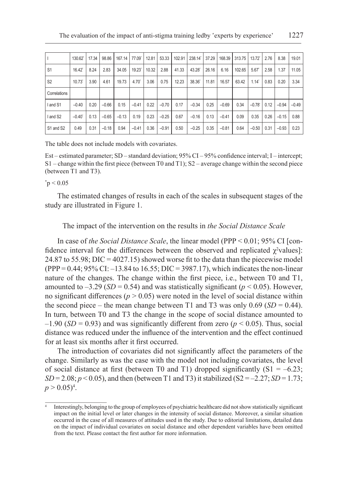|                | 130.62               | 17.34 | 98.86   | 167.14  | 77.09          | 12.81 | 53.33   | 102.91 | 238.14* | 37.29 | 168.39  | 313.75 | $13.72^{\circ}$      | 2.76 | 8.38    | 19.01   |
|----------------|----------------------|-------|---------|---------|----------------|-------|---------|--------|---------|-------|---------|--------|----------------------|------|---------|---------|
| S <sub>1</sub> | 16.42                | 8.24  | 2.83    | 34.05   | 19.23*         | 10.32 | 2.88    | 41.33  | 43.28   | 26.16 | 6.16    | 102.65 | 5.67                 | 2.58 | 1.37    | 11.05   |
| S <sub>2</sub> | 10.73                | 3.90  | 4.61    | 19.73   | $4.70^{\circ}$ | 3.06  | 0.75    | 12.23  | 38.36   | 11.81 | 16.57   | 63.42  | 1.14                 | 0.83 | 0.20    | 3.34    |
| Correlations   |                      |       |         |         |                |       |         |        |         |       |         |        |                      |      |         |         |
| I and S1       | $-0.40$              | 0.20  | $-0.66$ | 0.15    | $-0.41$        | 0.22  | $-0.70$ | 0.17   | $-0.34$ | 0.25  | $-0.69$ | 0.34   | $-0.78$ <sup>*</sup> | 0.12 | $-0.94$ | $-0.49$ |
| I and S2       | $-0.40$ <sup>*</sup> | 0.13  | $-0.65$ | $-0.13$ | 0.19           | 0.23  | $-0.25$ | 0.67   | $-0.16$ | 0.13  | $-0.41$ | 0.09   | 0.35                 | 0.26 | $-0.15$ | 0.88    |
| S1 and S2      | 0.49                 | 0.31  | $-0.18$ | 0.94    | $-0.41$        | 0.36  | $-0.91$ | 0.50   | $-0.25$ | 0.35  | $-0.81$ | 0.64   | $-0.50$              | 0.31 | $-0.93$ | 0.23    |

The table does not include models with covariates.

Est – estimated parameter; SD – standard deviation; 95% CI – 95% confidence interval; I – intercept; S1 – change within the first piece (between T0 and T1); S2 – average change within the second piece (between T1 and T3).

 $^*\text{p}$   $<$  0.05

The estimated changes of results in each of the scales in subsequent stages of the study are illustrated in Figure 1.

### The impact of the intervention on the results in *the Social Distance Scale*

In case of *the Social Distance Scale*, the linear model (PPP < 0.01; 95% CI [confidence interval for the differences between the observed and replicated  $\chi^2$ values]: 24.87 to 55.98; DIC = 4027.15) showed worse fit to the data than the piecewise model (PPP = 0.44; 95% CI: –13.84 to 16.55; DIC = 3987.17), which indicates the non-linear nature of the changes. The change within the first piece, i.e., between T0 and T1, amounted to  $-3.29$  (*SD* = 0.54) and was statistically significant ( $p < 0.05$ ). However, no significant differences ( $p > 0.05$ ) were noted in the level of social distance within the second piece – the mean change between T1 and T3 was only  $0.69$  (*SD* = 0.44). In turn, between T0 and T3 the change in the scope of social distance amounted to  $-1.90$  (*SD* = 0.93) and was significantly different from zero ( $p < 0.05$ ). Thus, social distance was reduced under the influence of the intervention and the effect continued for at least six months after it first occurred.

The introduction of covariates did not significantly affect the parameters of the change. Similarly as was the case with the model not including covariates, the level of social distance at first (between T0 and T1) dropped significantly  $(S1 = -6.23;$  $SD = 2.08$ ;  $p < 0.05$ ), and then (between T1 and T3) it stabilized (S2 = -2.27; *SD* = 1.73;  $p > 0.05)^4$ .

Interestingly, belonging to the group of employees of psychiatric healthcare did not show statistically significant impact on the initial level or later changes in the intensity of social distance. Moreover, a similar situation occurred in the case of all measures of attitudes used in the study. Due to editorial limitations, detailed data on the impact of individual covariates on social distance and other dependent variables have been omitted from the text. Please contact the first author for more information.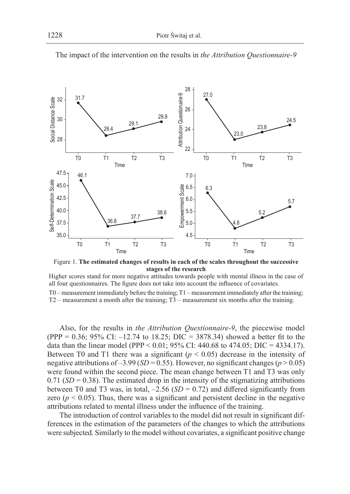

The impact of the intervention on the results in *the Attribution Questionnaire-9*

Figure 1. **The estimated changes of results in each of the scales throughout the successive stages of the research**

Higher scores stand for more negative attitudes towards people with mental illness in the case of all four questionnaires. The figure does not take into account the influence of covariates.

T0 – measurement immediately before the training; T1 – measurement immediately after the training; T2 – measurement a month after the training; T3 – measurement six months after the training.

Also, for the results in *the Attribution Questionnaire-9*, the piecewise model (PPP = 0.36; 95% CI: –12.74 to 18.25; DIC = 3878.34) showed a better fit to the data than the linear model (PPP < 0.01; 95% CI: 440.68 to 474.05; DIC = 4334.17). Between T0 and T1 there was a significant  $(p < 0.05)$  decrease in the intensity of negative attributions of  $-3.99$  (*SD* = 0.55). However, no significant changes ( $p > 0.05$ ) were found within the second piece. The mean change between T1 and T3 was only 0.71 ( $SD = 0.38$ ). The estimated drop in the intensity of the stigmatizing attributions between T0 and T3 was, in total,  $-2.56$  ( $SD = 0.72$ ) and differed significantly from zero ( $p < 0.05$ ). Thus, there was a significant and persistent decline in the negative attributions related to mental illness under the influence of the training.

The introduction of control variables to the model did not result in significant differences in the estimation of the parameters of the changes to which the attributions were subjected. Similarly to the model without covariates, a significant positive change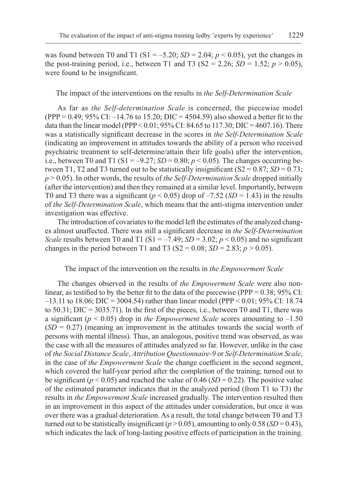was found between T0 and T1 (S1 =  $-5.20$ ; *SD* = 2.04; *p* < 0.05), yet the changes in the post-training period, i.e., between T1 and T3 ( $S2 = 2.26$ ;  $SD = 1.52$ ;  $p > 0.05$ ), were found to be insignificant.

The impact of the interventions on the results in *the Self-Determination Scale*

As far as *the Self-determination Scale* is concerned, the piecewise model  $(PPP = 0.49; 95\% CI: -14.76$  to 15.20;  $DIC = 4504.59$  also showed a better fit to the data than the linear model (PPP <  $0.01$ ; 95% CI: 84.65 to 117.30; DIC = 4607.16). There was a statistically significant decrease in the scores in *the Self-Determination Scale* (indicating an improvement in attitudes towards the ability of a person who received psychiatric treatment to self-determine/attain their life goals) after the intervention, i.e., between T0 and T1 (S1 =  $-9.27$ ; *SD* = 0.80; *p* < 0.05). The changes occurring between T1, T2 and T3 turned out to be statistically insignificant  $(S2 = 0.87; SD = 0.73;$ *p* > 0.05). In other words, the results of *the Self-Determination Scale* dropped initially (after the intervention) and then they remained at a similar level. Importantly, between T0 and T3 there was a significant ( $p < 0.05$ ) drop of  $-7.52$  ( $SD = 1.43$ ) in the results of *the Self-Determination Scale*, which means that the anti-stigma intervention under investigation was effective.

The introduction of covariates to the model left the estimates of the analyzed changes almost unaffected. There was still a significant decrease in *the Self-Determination Scale* results between T0 and T1 (S1 =  $-7.49$ ; *SD* = 3.02; *p* < 0.05) and no significant changes in the period between T1 and T3 (S2 = 0.08; *SD* = 2.83; *p* > 0.05).

The impact of the intervention on the results in *the Empowerment Scale*

The changes observed in the results of *the Empowerment Scale* were also nonlinear, as testified to by the better fit to the data of the piecewise (PPP =  $0.38$ ; 95% CI:  $-13.11$  to 18.06; DIC = 3004.54) rather than linear model (PPP < 0.01; 95% CI: 18.74 to 50.31; DIC = 3035.71). In the first of the pieces, i.e., between T0 and T1, there was a significant ( $p < 0.05$ ) drop in *the Empowerment Scale* scores amounting to  $-1.50$  $(SD = 0.27)$  (meaning an improvement in the attitudes towards the social worth of persons with mental illness). Thus, an analogous, positive trend was observed, as was the case with all the measures of attitudes analyzed so far. However, unlike in the case of *the Social Distance Scale*, *Attribution Questionnaire-9* or *Self-Determination Scale*, in the case of *the Empowerment Scale* the change coefficient in the second segment, which covered the half-year period after the completion of the training, turned out to be significant ( $p < 0.05$ ) and reached the value of 0.46 ( $SD = 0.22$ ). The positive value of the estimated parameter indicates that in the analyzed period (from T1 to T3) the results in *the Empowerment Scale* increased gradually. The intervention resulted then in an improvement in this aspect of the attitudes under consideration, but once it was over there was a gradual deterioration. As a result, the total change between T0 and T3 turned out to be statistically insignificant ( $p > 0.05$ ), amounting to only 0.58 (*SD* = 0.43), which indicates the lack of long-lasting positive effects of participation in the training.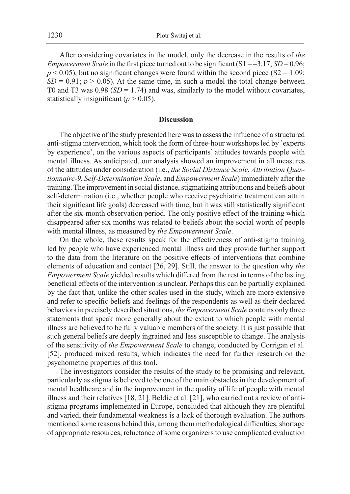After considering covariates in the model, only the decrease in the results of *the Empowerment Scale* in the first piece turned out to be significant  $(S1 = -3.17; SD = 0.96;$  $p < 0.05$ ), but no significant changes were found within the second piece (S2 = 1.09;  $SD = 0.91$ ;  $p > 0.05$ ). At the same time, in such a model the total change between T0 and T3 was  $0.98$  (*SD* = 1.74) and was, similarly to the model without covariates, statistically insignificant  $(p > 0.05)$ .

#### **Discussion**

The objective of the study presented here was to assess the influence of a structured anti-stigma intervention, which took the form of three-hour workshops led by 'experts by experience', on the various aspects of participants' attitudes towards people with mental illness. As anticipated, our analysis showed an improvement in all measures of the attitudes under consideration (i.e., *the Social Distance Scale*, *Attribution Questionnaire-9*, *Self-Determination Scale*, and *Empowerment Scale*) immediately after the training. The improvement in social distance, stigmatizing attributions and beliefs about self-determination (i.e., whether people who receive psychiatric treatment can attain their significant life goals) decreased with time, but it was still statistically significant after the six-month observation period. The only positive effect of the training which disappeared after six months was related to beliefs about the social worth of people with mental illness, as measured by *the Empowerment Scale*.

On the whole, these results speak for the effectiveness of anti-stigma training led by people who have experienced mental illness and they provide further support to the data from the literature on the positive effects of interventions that combine elements of education and contact [26, 29]. Still, the answer to the question why *the Empowerment Scale* yielded results which differed from the rest in terms of the lasting beneficial effects of the intervention is unclear. Perhaps this can be partially explained by the fact that, unlike the other scales used in the study, which are more extensive and refer to specific beliefs and feelings of the respondents as well as their declared behaviors in precisely described situations, *the Empowerment Scale* contains only three statements that speak more generally about the extent to which people with mental illness are believed to be fully valuable members of the society. It is just possible that such general beliefs are deeply ingrained and less susceptible to change. The analysis of the sensitivity of *the Empowerment Scale* to change, conducted by Corrigan et al. [52], produced mixed results, which indicates the need for further research on the psychometric properties of this tool.

The investigators consider the results of the study to be promising and relevant, particularly as stigma is believed to be one of the main obstacles in the development of mental healthcare and in the improvement in the quality of life of people with mental illness and their relatives [18, 21]. Beldie et al. [21], who carried out a review of antistigma programs implemented in Europe, concluded that although they are plentiful and varied, their fundamental weakness is a lack of thorough evaluation. The authors mentioned some reasons behind this, among them methodological difficulties, shortage of appropriate resources, reluctance of some organizers to use complicated evaluation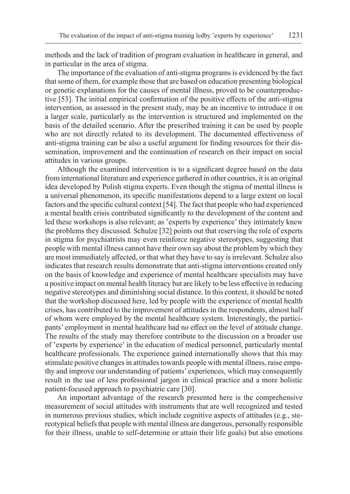methods and the lack of tradition of program evaluation in healthcare in general, and in particular in the area of stigma.

The importance of the evaluation of anti-stigma programs is evidenced by the fact that some of them, for example those that are based on education presenting biological or genetic explanations for the causes of mental illness, proved to be counterproductive [53]. The initial empirical confirmation of the positive effects of the anti-stigma intervention, as assessed in the present study, may be an incentive to introduce it on a larger scale, particularly as the intervention is structured and implemented on the basis of the detailed scenario. After the prescribed training it can be used by people who are not directly related to its development. The documented effectiveness of anti-stigma training can be also a useful argument for finding resources for their dissemination, improvement and the continuation of research on their impact on social attitudes in various groups.

Although the examined intervention is to a significant degree based on the data from international literature and experience gathered in other countries, it is an original idea developed by Polish stigma experts. Even though the stigma of mental illness is a universal phenomenon, its specific manifestations depend to a large extent on local factors and the specific cultural context [54]. The fact that people who had experienced a mental health crisis contributed significantly to the development of the content and led these workshops is also relevant; as 'experts by experience' they intimately knew the problems they discussed. Schulze [32] points out that reserving the role of experts in stigma for psychiatrists may even reinforce negative stereotypes, suggesting that people with mental illness cannot have their own say about the problem by which they are most immediately affected, or that what they have to say is irrelevant. Schulze also indicates that research results demonstrate that anti-stigma interventions created only on the basis of knowledge and experience of mental healthcare specialists may have a positive impact on mental health literacy but are likely to be less effective in reducing negative stereotypes and diminishing social distance. In this context, it should be noted that the workshop discussed here, led by people with the experience of mental health crises, has contributed to the improvement of attitudes in the respondents, almost half of whom were employed by the mental healthcare system. Interestingly, the participants' employment in mental healthcare had no effect on the level of attitude change. The results of the study may therefore contribute to the discussion on a broader use of 'experts by experience' in the education of medical personnel, particularly mental healthcare professionals. The experience gained internationally shows that this may stimulate positive changes in attitudes towards people with mental illness, raise empathy and improve our understanding of patients' experiences, which may consequently result in the use of less professional jargon in clinical practice and a more holistic patient-focused approach to psychiatric care [30].

An important advantage of the research presented here is the comprehensive measurement of social attitudes with instruments that are well recognized and tested in numerous previous studies, which include cognitive aspects of attitudes (e.g., stereotypical beliefs that people with mental illness are dangerous, personally responsible for their illness, unable to self-determine or attain their life goals) but also emotions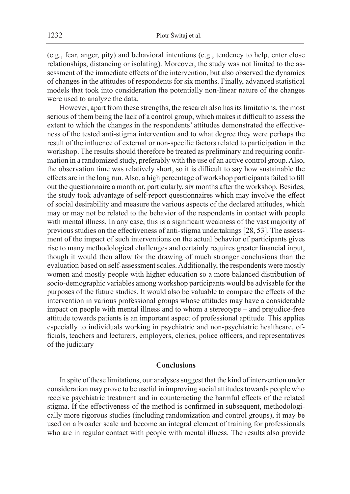(e.g., fear, anger, pity) and behavioral intentions (e.g., tendency to help, enter close relationships, distancing or isolating). Moreover, the study was not limited to the assessment of the immediate effects of the intervention, but also observed the dynamics of changes in the attitudes of respondents for six months. Finally, advanced statistical models that took into consideration the potentially non-linear nature of the changes were used to analyze the data.

However, apart from these strengths, the research also has its limitations, the most serious of them being the lack of a control group, which makes it difficult to assess the extent to which the changes in the respondents' attitudes demonstrated the effectiveness of the tested anti-stigma intervention and to what degree they were perhaps the result of the influence of external or non-specific factors related to participation in the workshop. The results should therefore be treated as preliminary and requiring confirmation in a randomized study, preferably with the use of an active control group. Also, the observation time was relatively short, so it is difficult to say how sustainable the effects are in the long run. Also, a high percentage of workshop participants failed to fill out the questionnaire a month or, particularly, six months after the workshop. Besides, the study took advantage of self-report questionnaires which may involve the effect of social desirability and measure the various aspects of the declared attitudes, which may or may not be related to the behavior of the respondents in contact with people with mental illness. In any case, this is a significant weakness of the vast majority of previous studies on the effectiveness of anti-stigma undertakings [28, 53]. The assessment of the impact of such interventions on the actual behavior of participants gives rise to many methodological challenges and certainly requires greater financial input, though it would then allow for the drawing of much stronger conclusions than the evaluation based on self-assessment scales. Additionally, the respondents were mostly women and mostly people with higher education so a more balanced distribution of socio-demographic variables among workshop participants would be advisable for the purposes of the future studies. It would also be valuable to compare the effects of the intervention in various professional groups whose attitudes may have a considerable impact on people with mental illness and to whom a stereotype – and prejudice-free attitude towards patients is an important aspect of professional aptitude. This applies especially to individuals working in psychiatric and non-psychiatric healthcare, officials, teachers and lecturers, employers, clerics, police officers, and representatives of the judiciary

## **Conclusions**

In spite of these limitations, our analyses suggest that the kind of intervention under consideration may prove to be useful in improving social attitudes towards people who receive psychiatric treatment and in counteracting the harmful effects of the related stigma. If the effectiveness of the method is confirmed in subsequent, methodologically more rigorous studies (including randomization and control groups), it may be used on a broader scale and become an integral element of training for professionals who are in regular contact with people with mental illness. The results also provide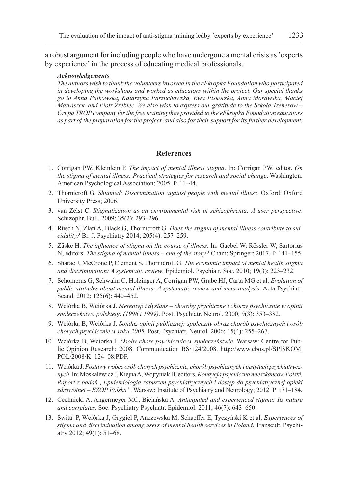a robust argument for including people who have undergone a mental crisis as 'experts by experience' in the process of educating medical professionals.

#### *Acknowledgements*

*The authors wish to thank the volunteers involved in the eFkropka Foundation who participated in developing the workshops and worked as educators within the project. Our special thanks go to Anna Patkowska, Katarzyna Parzuchowska, Ewa Piskorska, Anna Morawska, Maciej Matraszek, and Piotr Źrebiec. We also wish to express our gratitude to the Szkoła Trenerów – Grupa TROP company for the free training they provided to the eFkropka Foundation educators as part of the preparation for the project, and also for their support for its further development.*

## **References**

- 1. Corrigan PW, Kleinlein P. *The impact of mental illness stigma*. In: Corrigan PW, editor. *On the stigma of mental illness: Practical strategies for research and social change*. Washington: American Psychological Association; 2005. P. 11–44.
- 2. Thornicroft G. *Shunned: Discrimination against people with mental illness*. Oxford: Oxford University Press; 2006.
- 3. van Zelst C. *Stigmatization as an environmental risk in schizophrenia: A user perspective*. Schizophr. Bull. 2009; 35(2): 293–296.
- 4. Rüsch N, Zlati A, Black G, Thornicroft G. *Does the stigma of mental illness contribute to suicidality?* Br. J. Psychiatry 2014; 205(4): 257–259.
- 5. Zäske H. *The influence of stigma on the course of illness*. In: Gaebel W, Rössler W, Sartorius N, editors. *The stigma of mental illness – end of the story?* Cham: Springer; 2017. P. 141–155.
- 6. Sharac J, McCrone P, Clement S, Thornicroft G. *The economic impact of mental health stigma and discrimination: A systematic review*. Epidemiol. Psychiatr. Soc. 2010; 19(3): 223–232.
- 7. Schomerus G, Schwahn C, Holzinger A, Corrigan PW, Grabe HJ, Carta MG et al. *Evolution of public attitudes about mental illness: A systematic review and meta-analysis*. Acta Psychiatr. Scand. 2012; 125(6): 440-452.
- 8. Wciórka B, Wciórka J. *Stereotyp i dystans choroby psychiczne i chorzy psychicznie w opinii społeczeństwa polskiego (1996 i 1999)*. Post. Psychiatr. Neurol. 2000; 9(3): 353–382.
- 9. Wciórka B, Wciórka J. *Sondaż opinii publicznej: społeczny obraz chorób psychicznych i osób chorych psychicznie w roku 2005*. Post. Psychiatr. Neurol. 2006; 15(4): 255–267.
- 10. Wciórka B, Wciórka J. *Osoby chore psychicznie w społeczeństwie*. Warsaw: Centre for Public Opinion Research; 2008. Communication BS/124/2008. http://www.cbos.pl/SPISKOM. POL/2008/K\_124\_08.PDF.
- 11. Wciórka J. *Postawy wobec osób chorych psychicznie, chorób psychicznych i instytucji psychiatrycznych*. In: Moskalewicz J, Kiejna A, Wojtyniak B, editors. *Kondycja psychiczna mieszkańcówPolski. Raport z badań "Epidemiologia zaburzeń psychiatrycznych i dostęp do psychiatrycznej opieki zdrowotnej – EZOP Polska"*. Warsaw: Institute of Psychiatry and Neurology; 2012. P. 171–184.
- 12. Cechnicki A, Angermeyer MC, Bielańska A. *Anticipated and experienced stigma: Its nature and correlates*. Soc. Psychiatry Psychiatr. Epidemiol. 2011; 46(7): 643–650.
- 13. Świtaj P, Wciórka J, Grygiel P, Anczewska M, Schaeffer E, Tyczyński K et al. *Experiences of stigma and discrimination among users of mental health services in Poland*. Transcult. Psychiatry 2012; 49(1): 51–68.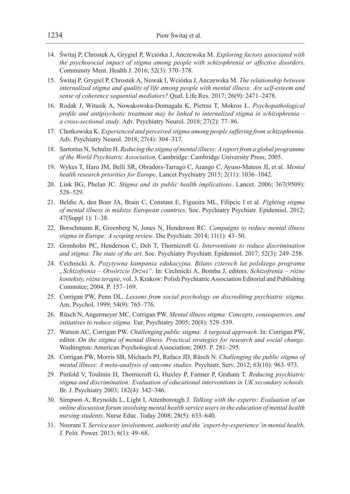- 14. Świtaj P, Chrostek A, Grygiel P, Wciórka J, Anczewska M. *Exploring factors associated with the psychosocial impact of stigma among people with schizophrenia or affective disorders*. Community Ment. Health J. 2016; 52(3): 370–378.
- 15. Świtaj P, Grygiel P, Chrostek A, Nowak I, Wciórka J, Anczewska M. *The relationship between internalized stigma and quality of life among people with mental illness: Are self-esteem and sense of coherence sequential mediators?* Qual. Life Res. 2017; 26(9): 2471–2478.
- 16. Rodak J, Witusik A, Nowakowska-Domagała K, Pietras T, Mokros Ł. *Psychopathological profile and antipsychotic treatment may be linked to internalized stigma in schizophrenia – a cross-sectional study*. Adv. Psychiatry Neurol. 2018; 27(2): 77–86.
- 17. Chotkowska K. *Experienced and perceived stigma among people suffering from schizophrenia*. Adv. Psychiatry Neurol. 2018; 27(4): 304–317.
- 18. Sartorius N, Schulze H. *Reducing the stigma of mental illness: A report from a global programme of the World Psychiatric Association*. Cambridge: Cambridge University Press; 2005.
- 19. Wykes T, Haro JM, Belli SR, Obradors-Tarragó C, Arango C, Ayuso-Mateos JL et al. *Mental health research priorities for Europe*. Lancet Psychiatry 2015; 2(11): 1036–1042.
- 20. Link BG, Phelan JC. *Stigma and its public health implications*. Lancet. 2006; 367(9509): 528–529.
- 21. Beldie A, den Boer JA, Brain C, Constant E, Figueira ML, Filipcic I et al. *Fighting stigma of mental illness in midsize European countries*. Soc. Psychiatry Psychiatr. Epidemiol. 2012; 47(Suppl 1): 1–38.
- 22. Borschmann R, Greenberg N, Jones N, Henderson RC. *Campaigns to reduce mental illness stigma in Europe: A scoping review*. Die Psychiatr. 2014; 11(1): 43–50.
- 23. Gronholm PC, Henderson C, Deb T, Thornicroft G. *Interventions to reduce discrimination and stigma: The state of the art*. Soc. Psychiatry Psychiatr. Epidemiol. 2017; 52(3): 249–258.
- 24. Cechnicki A. *Pozytywna kampania edukacyjna. Bilans czterech lat polskiego programu "Schizofrenia – Otwórzcie Drzwi"*. In: Cechnicki A, Bomba J, editors. *Schizofrenia – różne konteksty, różne terapie*, vol. 3. Krakow: Polish Psychiatric Association Editorial and Publishing Commitee; 2004. P. 157–169.
- 25. Corrigan PW, Penn DL. *Lessons from social psychology on discrediting psychiatric stigma*. Am. Psychol. 1999; 54(9): 765–776.
- 26. Rüsch N, Angermeyer MC, Corrigan PW. *Mental illness stigma: Concepts, consequences, and initiatives to reduce stigma*. Eur. Psychiatry 2005; 20(8): 529–539.
- 27. Watson AC, Corrigan PW. *Challenging public stigma: A targeted approach*. In: Corrigan PW, editor. *On the stigma of mental illness. Practical strategies for research and social change*. Washington: American Psychological Association; 2005. P. 281–295.
- 28. Corrigan PW, Morris SB, Michaels PJ, Rafacz JD, Rüsch N. *Challenging the public stigma of mental illness: A meta-analysis of outcome studies*. Psychiatr. Serv. 2012; 63(10): 963–973.
- 29. Pinfold V, Toulmin H, Thornicroft G, Huxley P, Farmer P, Graham T. *Reducing psychiatric stigma and discrimination: Evaluation of educational interventions in UK secondary schools*. Br. J. Psychiatry 2003; 182(4): 342–346.
- 30. Simpson A, Reynolds L, Light I, Attenborough J. *Talking with the experts: Evaluation of an online discussion forum involving mental health service users in the education of mental health nursing students*. Nurse Educ. Today 2008; 28(5): 633–640.
- 31. Noorani T. *Service user involvement, authority and the 'expert-by-experience' in mental health*. J. Polit. Power. 2013; 6(1): 49–68.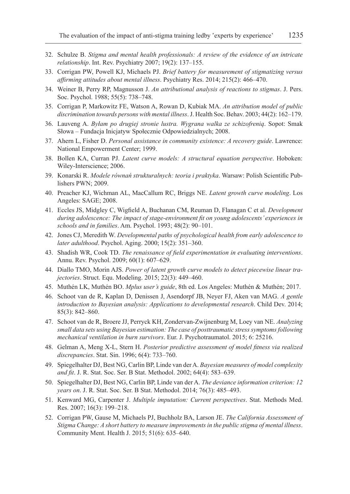- 32. Schulze B. *Stigma and mental health professionals: A review of the evidence of an intricate relationship*. Int. Rev. Psychiatry 2007; 19(2): 137–155.
- 33. Corrigan PW, Powell KJ, Michaels PJ. *Brief battery for measurement of stigmatizing versus affirming attitudes about mental illness*. Psychiatry Res. 2014; 215(2): 466–470.
- 34. Weiner B, Perry RP, Magnusson J. *An attributional analysis of reactions to stigmas*. J. Pers. Soc. Psychol. 1988; 55(5): 738–748.
- 35. Corrigan P, Markowitz FE, Watson A, Rowan D, Kubiak MA. *An attribution model of public discrimination towards persons with mental illness*. J. Health Soc. Behav. 2003; 44(2): 162–179.
- 36. Lauveng A. *Byłam po drugiej stronie lustra. Wygrana walka ze schizofrenią*. Sopot: Smak Słowa – Fundacja Inicjatyw Społecznie Odpowiedzialnych; 2008.
- 37. Ahern L, Fisher D. *Personal assistance in community existence: A recovery guide*. Lawrence: National Empowerment Center; 1999.
- 38. Bollen KA, Curran PJ. *Latent curve models: A structural equation perspective*. Hoboken: Wiley-Interscience; 2006.
- 39. Konarski R. *Modele równań strukturalnych: teoria i praktyka*. Warsaw: Polish Scientific Publishers PWN; 2009.
- 40. Preacher KJ, Wichman AL, MacCallum RC, Briggs NE. *Latent growth curve modeling*. Los Angeles: SAGE; 2008.
- 41. Eccles JS, Midgley C, Wigfield A, Buchanan CM, Reuman D, Flanagan C et al. *Development during adolescence: The impact of stage-environment fit on young adolescents' experiences in schools and in families*. Am. Psychol. 1993; 48(2): 90–101.
- 42. Jones CJ, Meredith W. *Developmental paths of psychological health from early adolescence to later adulthood*. Psychol. Aging. 2000; 15(2): 351–360.
- 43. Shadish WR, Cook TD. *The renaissance of field experimentation in evaluating interventions*. Annu. Rev. Psychol. 2009; 60(1): 607–629.
- 44. Diallo TMO, Morin AJS. *Power of latent growth curve models to detect piecewise linear trajectories*. Struct. Equ. Modeling. 2015; 22(3): 449–460.
- 45. Muthén LK, Muthén BO. *Mplus user's guide*, 8th ed. Los Angeles: Muthén & Muthén; 2017.
- 46. Schoot van de R, Kaplan D, Denissen J, Asendorpf JB, Neyer FJ, Aken van MAG. *A gentle introduction to Bayesian analysis: Applications to developmental research*. Child Dev. 2014; 85(3): 842–860.
- 47. Schoot van de R, Broere JJ, Perryck KH, Zondervan-Zwijnenburg M, Loey van NE. *Analyzing small data sets using Bayesian estimation: The case of posttraumatic stress symptoms following mechanical ventilation in burn survivors*. Eur. J. Psychotraumatol. 2015; 6: 25216.
- 48. Gelman A, Meng X-L, Stern H. *Posterior predictive assessment of model fitness via realized discrepancies*. Stat. Sin. 1996; 6(4): 733–760.
- 49. Spiegelhalter DJ, Best NG, Carlin BP, Linde van der A. *Bayesian measures of model complexity and fit*. J. R. Stat. Soc. Ser. B Stat. Methodol. 2002; 64(4): 583–639.
- 50. Spiegelhalter DJ, Best NG, Carlin BP, Linde van der A. *The deviance information criterion: 12 years on*. J. R. Stat. Soc. Ser. B Stat. Methodol. 2014; 76(3): 485–493.
- 51. Kenward MG, Carpenter J. *Multiple imputation: Current perspectives*. Stat. Methods Med. Res. 2007; 16(3): 199–218.
- 52. Corrigan PW, Gause M, Michaels PJ, Buchholz BA, Larson JE. *The California Assessment of Stigma Change: A short battery to measure improvements in the public stigma of mental illness*. Community Ment. Health J. 2015; 51(6): 635–640.